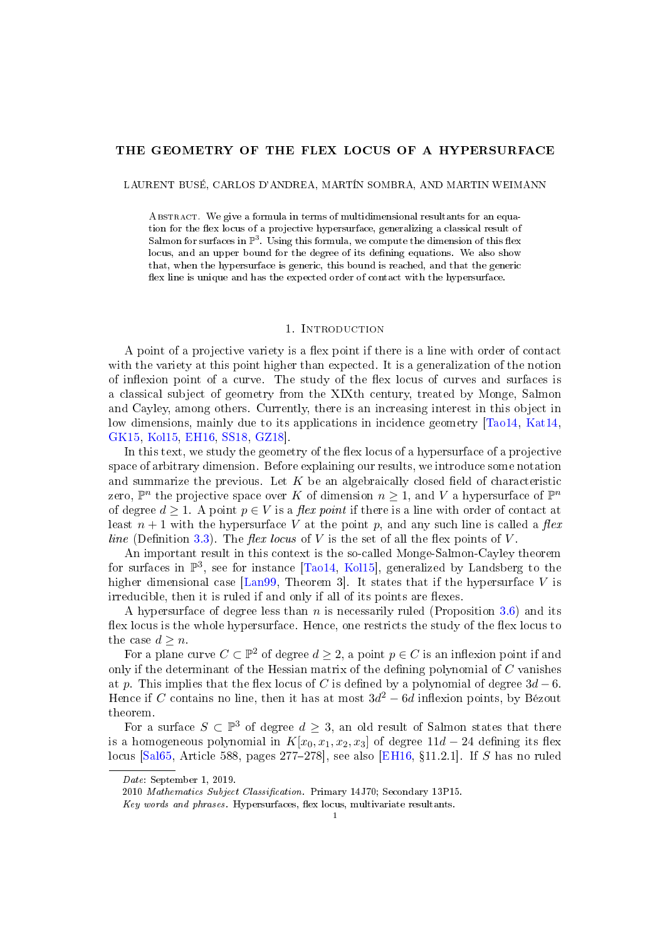### THE GEOMETRY OF THE FLEX LOCUS OF A HYPERSURFACE

LAURENT BUSÉ, CARLOS D'ANDREA, MARTÍN SOMBRA, AND MARTIN WEIMANN

ABSTRACT. We give a formula in terms of multidimensional resultants for an equation for the flex locus of a projective hypersurface, generalizing a classical result of Salmon for surfaces in  $\mathbb{P}^3$ . Using this formula, we compute the dimension of this flex locus, and an upper bound for the degree of its defining equations. We also show that, when the hypersurface is generic, this bound is reached, and that the generic flex line is unique and has the expected order of contact with the hypersurface.

#### 1. INTRODUCTION

A point of a projective variety is a flex point if there is a line with order of contact with the variety at this point higher than expected. It is a generalization of the notion of inflexion point of a curve. The study of the flex locus of curves and surfaces is a classical subject of geometry from the XIXth century, treated by Monge, Salmon and Cayley, among others. Currently, there is an increasing interest in this object in low dimensions, mainly due to its applications in incidence geometry [\[Tao14,](#page-14-0) [Kat14,](#page-14-1) [GK15,](#page-14-2) [Kol15,](#page-14-3) [EH16,](#page-14-4) [SS18,](#page-14-5) [GZ18\]](#page-14-6).

In this text, we study the geometry of the flex locus of a hypersurface of a projective space of arbitrary dimension. Before explaining our results, we introduce some notation and summarize the previous. Let  $K$  be an algebraically closed field of characteristic zero,  $\mathbb{P}^n$  the projective space over K of dimension  $n \geq 1$ , and V a hypersurface of  $\mathbb{P}^n$ of degree  $d \geq 1$ . A point  $p \in V$  is a flex point if there is a line with order of contact at least  $n + 1$  with the hypersurface V at the point p, and any such line is called a flex line (Definition [3.3\)](#page-5-0). The flex locus of V is the set of all the flex points of V.

An important result in this context is the so-called Monge-Salmon-Cayley theorem for surfaces in  $\mathbb{P}^3$ , see for instance [\[Tao14,](#page-14-0) [Kol15\]](#page-14-3), generalized by Landsberg to the higher dimensional case [\[Lan99,](#page-14-7) Theorem 3]. It states that if the hypersurface V is irreducible, then it is ruled if and only if all of its points are flexes.

A hypersurface of degree less than n is necessarily ruled (Proposition [3.6\)](#page-6-0) and its flex locus is the whole hypersurface. Hence, one restricts the study of the flex locus to the case  $d \geq n$ .

For a plane curve  $C \subset \mathbb{P}^2$  of degree  $d \geq 2$ , a point  $p \in C$  is an inflexion point if and only if the determinant of the Hessian matrix of the defining polynomial of  $C$  vanishes at p. This implies that the flex locus of C is defined by a polynomial of degree  $3d - 6$ . Hence if C contains no line, then it has at most  $3d^2 - 6d$  inflexion points, by Bézout theorem.

For a surface  $S \subset \mathbb{P}^3$  of degree  $d \geq 3$ , an old result of Salmon states that there is a homogeneous polynomial in  $K[x_0, x_1, x_2, x_3]$  of degree  $11d - 24$  defining its flex locus  $[Sa165, Article 588, pages 277-278], see also [EH16, §11.2.1].$  $[Sa165, Article 588, pages 277-278], see also [EH16, §11.2.1].$  $[Sa165, Article 588, pages 277-278], see also [EH16, §11.2.1].$  If S has no ruled

Date: September 1, 2019.

<sup>2010</sup> Mathematics Subject Classification. Primary 14J70; Secondary 13P15.

Key words and phrases. Hypersurfaces, flex locus, multivariate resultants.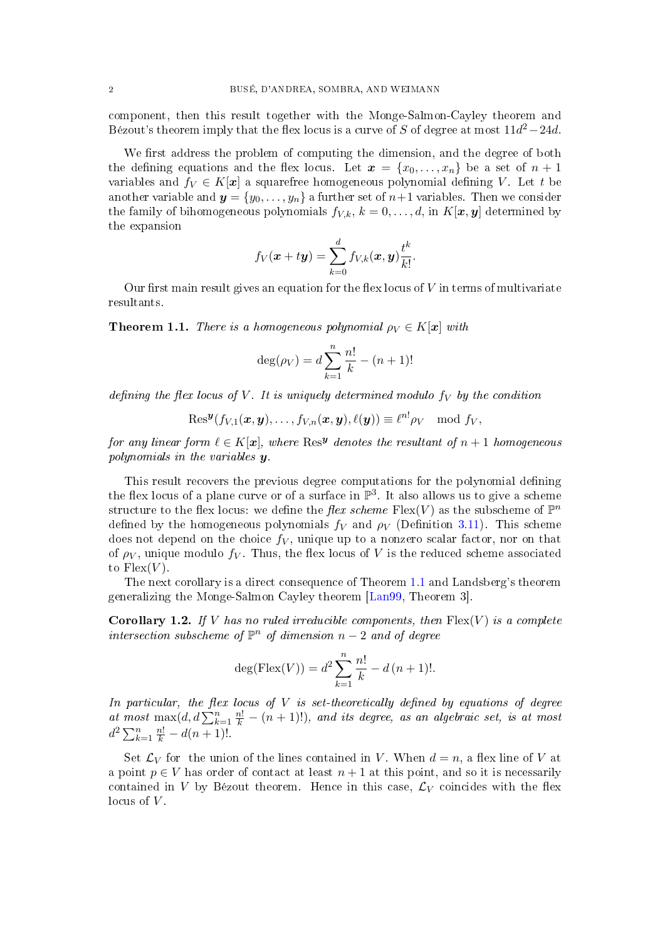component, then this result together with the Monge-Salmon-Cayley theorem and Bézout's theorem imply that the flex locus is a curve of S of degree at most  $11d^2-24d$ .

We first address the problem of computing the dimension, and the degree of both the defining equations and the flex locus. Let  $\mathbf{x} = \{x_0, \ldots, x_n\}$  be a set of  $n + 1$ variables and  $f_V \in K[\mathbf{x}]$  a squarefree homogeneous polynomial defining V. Let t be another variable and  $y = \{y_0, \ldots, y_n\}$  a further set of  $n+1$  variables. Then we consider the family of bihomogeneous polynomials  $f_{V,k}$ ,  $k = 0, \ldots, d$ , in  $K[\mathbf{x}, \mathbf{y}]$  determined by the expansion

$$
f_V(\boldsymbol{x} + t\boldsymbol{y}) = \sum_{k=0}^d f_{V,k}(\boldsymbol{x}, \boldsymbol{y}) \frac{t^k}{k!}.
$$

Our first main result gives an equation for the flex locus of  $V$  in terms of multivariate resultants.

<span id="page-1-0"></span>**Theorem 1.1.** There is a homogeneous polynomial  $\rho_V \in K[\mathbf{x}]$  with

$$
\deg(\rho_V) = d \sum_{k=1}^{n} \frac{n!}{k} - (n+1)!
$$

defining the flex locus of V. It is uniquely determined modulo  $f_V$  by the condition

$$
\mathrm{Res}^{\boldsymbol{y}}(f_{V,1}(\boldsymbol{x},\boldsymbol{y}),\ldots,f_{V,n}(\boldsymbol{x},\boldsymbol{y}),\ell(\boldsymbol{y}))\equiv \ell^{n!}\rho_V\mod f_V,
$$

for any linear form  $\ell \in K[\boldsymbol{x}],$  where  $\mathrm{Res}^{\boldsymbol{y}}$  denotes the resultant of  $n+1$  homogeneous polynomials in the variables y.

This result recovers the previous degree computations for the polynomial defining the flex locus of a plane curve or of a surface in  $\mathbb{P}^3$ . It also allows us to give a scheme structure to the flex locus: we define the *flex scheme* Flex(V) as the subscheme of  $\mathbb{P}^n$ defined by the homogeneous polynomials  $f_V$  and  $\rho_V$  (Definition [3.11\)](#page-8-0). This scheme does not depend on the choice  $f_V$ , unique up to a nonzero scalar factor, nor on that of  $\rho_V$ , unique modulo  $f_V$ . Thus, the flex locus of V is the reduced scheme associated to  $Flex(V)$ .

The next corollary is a direct consequence of Theorem [1.1](#page-1-0) and Landsberg's theorem generalizing the Monge-Salmon Cayley theorem [\[Lan99,](#page-14-7) Theorem 3].

<span id="page-1-1"></span>**Corollary 1.2.** If V has no ruled irreducible components, then  $Flex(V)$  is a complete intersection subscheme of  $\mathbb{P}^n$  of dimension  $n-2$  and of degree

$$
deg(Flex(V)) = d^2 \sum_{k=1}^{n} \frac{n!}{k} - d (n+1)!.
$$

In particular, the flex locus of  $V$  is set-theoretically defined by equations of degree at most  $\max(d, d) \sum_{k=1}^{n} \frac{n!}{k} - (n+1)!$ , and its degree, as an algebraic set, is at most  $d^2\sum_{k=1}^n \frac{n!}{k} - d(n+1)!$ .

Set  $\mathcal{L}_V$  for the union of the lines contained in V. When  $d = n$ , a flex line of V at a point  $p \in V$  has order of contact at least  $n+1$  at this point, and so it is necessarily contained in V by Bézout theorem. Hence in this case,  $\mathcal{L}_V$  coincides with the flex locus of  $V$ .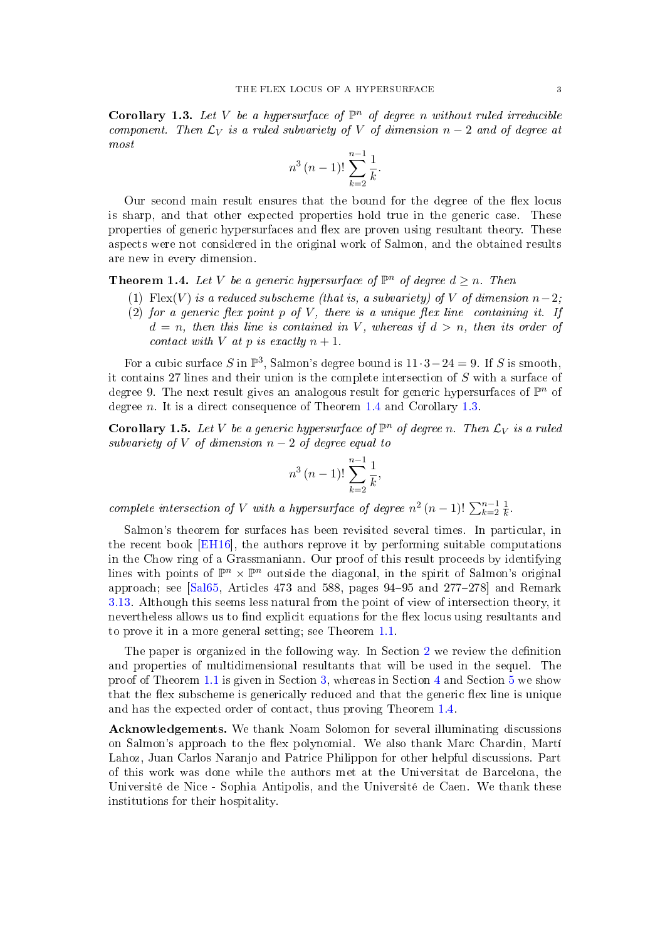<span id="page-2-1"></span>**Corollary 1.3.** Let V be a hypersurface of  $\mathbb{P}^n$  of degree n without ruled irreducible component. Then  $\mathcal{L}_V$  is a ruled subvariety of V of dimension  $n-2$  and of degree at most

$$
n^3 (n-1)! \sum_{k=2}^{n-1} \frac{1}{k}.
$$

Our second main result ensures that the bound for the degree of the flex locus is sharp, and that other expected properties hold true in the generic case. These properties of generic hypersurfaces and flex are proven using resultant theory. These aspects were not considered in the original work of Salmon, and the obtained results are new in every dimension.

<span id="page-2-0"></span>**Theorem 1.4.** Let V be a generic hypersurface of  $\mathbb{P}^n$  of degree  $d \geq n$ . Then

- <span id="page-2-2"></span>(1) Flex(V) is a reduced subscheme (that is, a subvariety) of V of dimension  $n-2$ ;
- <span id="page-2-3"></span>(2) for a generic flex point  $p$  of  $V$ , there is a unique flex line containing it. If  $d = n$ , then this line is contained in V, whereas if  $d > n$ , then its order of contact with V at p is exactly  $n + 1$ .

For a cubic surface S in  $\mathbb{P}^3$ , Salmon's degree bound is  $11 \cdot 3 - 24 = 9$ . If S is smooth, it contains 27 lines and their union is the complete intersection of S with a surface of degree 9. The next result gives an analogous result for generic hypersurfaces of  $\mathbb{P}^n$  of degree n. It is a direct consequence of Theorem  $1.4$  and Corollary [1.3.](#page-2-1)

**Corollary 1.5.** Let V be a generic hypersurface of  $\mathbb{P}^n$  of degree n. Then  $\mathcal{L}_V$  is a ruled subvariety of V of dimension  $n-2$  of degree equal to

$$
n^3 (n-1)! \sum_{k=2}^{n-1} \frac{1}{k},
$$

complete intersection of V with a hypersurface of degree  $n^2 (n-1)! \sum_{k=2}^{n-1} \frac{1}{k}$  $\frac{1}{k}$ .

Salmon's theorem for surfaces has been revisited several times. In particular, in the recent book [\[EH16\]](#page-14-4), the authors reprove it by performing suitable computations in the Chow ring of a Grassmaniann. Our proof of this result proceeds by identifying lines with points of  $\mathbb{P}^n \times \mathbb{P}^n$  outside the diagonal, in the spirit of Salmon's original approach; see  $[Sa165, Articles 473 and 588, pages 94–95 and 277–278]$  and Remark [3.13.](#page-9-0) Although this seems less natural from the point of view of intersection theory, it nevertheless allows us to find explicit equations for the flex locus using resultants and to prove it in a more general setting; see Theorem [1.1.](#page-1-0)

The paper is organized in the following way. In Section [2](#page-3-0) we review the definition and properties of multidimensional resultants that will be used in the sequel. The proof of Theorem [1.1](#page-1-0) is given in Section [3,](#page-4-0) whereas in Section [4](#page-9-1) and Section [5](#page-12-0) we show that the flex subscheme is generically reduced and that the generic flex line is unique and has the expected order of contact, thus proving Theorem [1.4.](#page-2-0)

Acknowledgements. We thank Noam Solomon for several illuminating discussions on Salmon's approach to the flex polynomial. We also thank Marc Chardin, Martí Lahoz, Juan Carlos Naranjo and Patrice Philippon for other helpful discussions. Part of this work was done while the authors met at the Universitat de Barcelona, the Université de Nice - Sophia Antipolis, and the Université de Caen. We thank these institutions for their hospitality.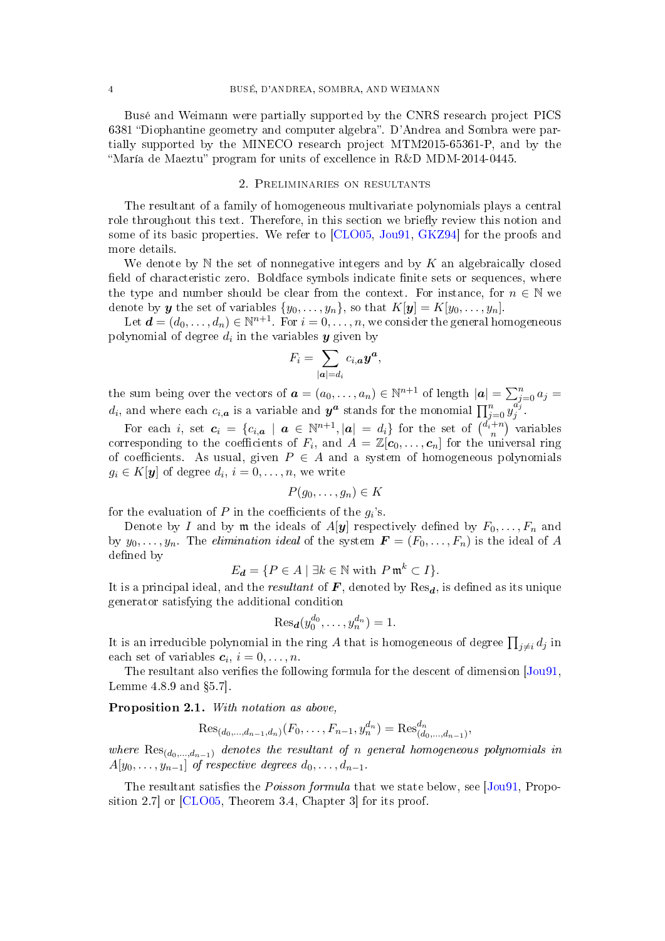Busé and Weimann were partially supported by the CNRS research project PICS 6381 "Diophantine geometry and computer algebra". D'Andrea and Sombra were partially supported by the MINECO research project MTM2015-65361-P, and by the "María de Maeztu" program for units of excellence in R&D MDM-2014-0445.

#### 2. Preliminaries on resultants

<span id="page-3-0"></span>The resultant of a family of homogeneous multivariate polynomials plays a central role throughout this text. Therefore, in this section we briefly review this notion and some of its basic properties. We refer to [\[CLO05,](#page-14-9) [Jou91,](#page-14-10) [GKZ94\]](#page-14-11) for the proofs and more details.

We denote by  $\mathbb N$  the set of nonnegative integers and by K an algebraically closed field of characteristic zero. Boldface symbols indicate finite sets or sequences, where the type and number should be clear from the context. For instance, for  $n \in \mathbb{N}$  we denote by  $\boldsymbol{y}$  the set of variables  $\{y_0, \ldots, y_n\}$ , so that  $K[\boldsymbol{y}] = K[y_0, \ldots, y_n].$ 

Let  $\boldsymbol{d} = (d_0, \ldots, d_n) \in \mathbb{N}^{n+1}$ . For  $i = 0, \ldots, n$ , we consider the general homogeneous polynomial of degree  $d_i$  in the variables  $\boldsymbol{y}$  given by

$$
F_i = \sum_{|\boldsymbol{a}| = d_i} c_{i,\boldsymbol{a}} \boldsymbol{y}^{\boldsymbol{a}},
$$

the sum being over the vectors of  $\boldsymbol{a} = (a_0, \dots, a_n) \in \mathbb{N}^{n+1}$  of length  $|\boldsymbol{a}| = \sum_{j=0}^n a_j =$  $d_i$ , and where each  $c_{i,\bm{a}}$  is a variable and  $\bm{y^a}$  stands for the monomial  $\prod_{j=0}^n \overline{y_j^{a_j'}}$  $\int_j^{u_j}$ .

For each i, set  $c_i = \{c_{i,a} \mid a \in \mathbb{N}^{n+1}, |a| = d_i\}$  for the set of  $\binom{d_i+n}{n}$  variables corresponding to the coefficients of  $F_i$ , and  $A = \mathbb{Z}[c_0, \ldots, c_n]$  for the universal ring of coefficients. As usual, given  $P \in A$  and a system of homogeneous polynomials  $g_i \in K[\boldsymbol{y}]$  of degree  $d_i, i = 0, \ldots, n$ , we write

$$
P(g_0,\ldots,g_n)\in K
$$

for the evaluation of  $P$  in the coefficients of the  $g_i$ 's.

Denote by I and by  $m$  the ideals of  $A[y]$  respectively defined by  $F_0, \ldots, F_n$  and by  $y_0, \ldots, y_n$ . The *elimination ideal* of the system  $\mathbf{F} = (F_0, \ldots, F_n)$  is the ideal of A defined by

$$
E_{\mathbf{d}} = \{ P \in A \mid \exists k \in \mathbb{N} \text{ with } P \mathfrak{m}^k \subset I \}.
$$

It is a principal ideal, and the *resultant* of  $\bm{F}$ , denoted by  $\text{Res}_{\bm{d}}$ , is defined as its unique generator satisfying the additional condition

$$
\text{Res}_{\boldsymbol{d}}(y_0^{d_0},\ldots,y_n^{d_n})=1.
$$

It is an irreducible polynomial in the ring  $A$  that is homogeneous of degree  $\prod_{j\neq i}d_j$  in each set of variables  $c_i$ ,  $i = 0, \ldots, n$ .

The resultant also verifies the following formula for the descent of dimension  $(Jou91,$ Lemme  $4.8.9$  and  $\S5.7$ .

<span id="page-3-1"></span>Proposition 2.1. With notation as above,

$$
\text{Res}_{(d_0,\ldots,d_{n-1},d_n)}(F_0,\ldots,F_{n-1},y_n^{d_n}) = \text{Res}_{(d_0,\ldots,d_{n-1})}^{d_n},
$$

where  $\text{Res}_{(d_0,...,d_{n-1})}$  denotes the resultant of n general homogeneous polynomials in  $A[y_0, \ldots, y_{n-1}]$  of respective degrees  $d_0, \ldots, d_{n-1}$ .

The resultant satisfies the *Poisson formula* that we state below, see [\[Jou91,](#page-14-10) Proposition 2.7] or [\[CLO05,](#page-14-9) Theorem 3.4, Chapter 3] for its proof.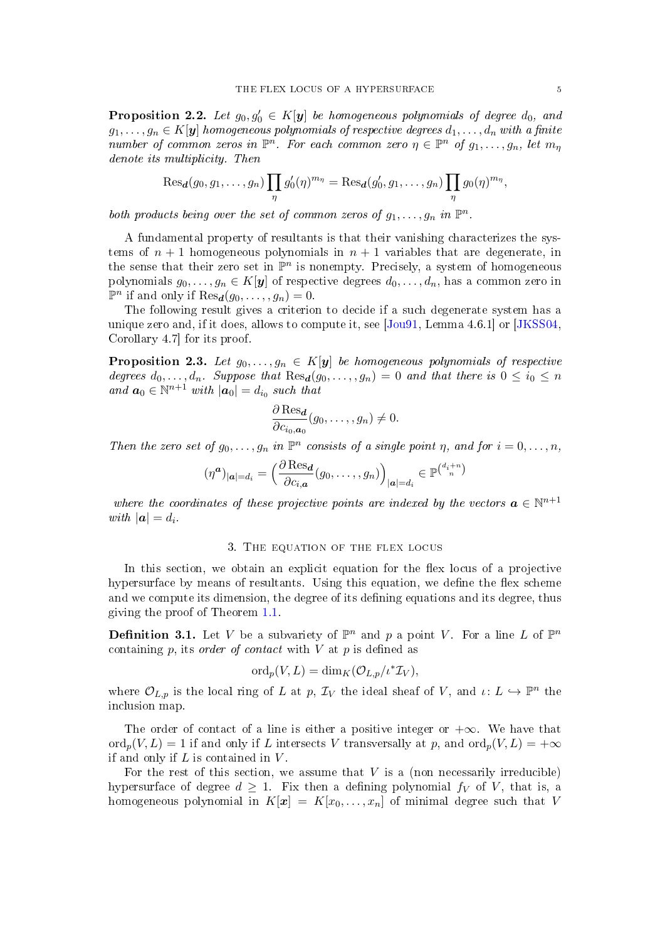<span id="page-4-1"></span>**Proposition 2.2.** Let  $g_0, g'_0 \in K[\mathbf{y}]$  be homogeneous polynomials of degree  $d_0$ , and  $g_1, \ldots, g_n \in K[\mathbf{y}]$  homogeneous polynomials of respective degrees  $d_1, \ldots, d_n$  with a finite number of common zeros in  $\mathbb{P}^n$ . For each common zero  $\eta \in \mathbb{P}^n$  of  $g_1, \ldots, g_n$ , let  $m_\eta$ denote its multiplicity. Then

$$
\operatorname{Res}_{\boldsymbol{d}}(g_0,g_1,\ldots,g_n)\prod_{\eta}g'_0(\eta)^{m_{\eta}}=\operatorname{Res}_{\boldsymbol{d}}(g'_0,g_1,\ldots,g_n)\prod_{\eta}g_0(\eta)^{m_{\eta}},
$$

both products being over the set of common zeros of  $g_1, \ldots, g_n$  in  $\mathbb{P}^n$ .

A fundamental property of resultants is that their vanishing characterizes the systems of  $n + 1$  homogeneous polynomials in  $n + 1$  variables that are degenerate, in the sense that their zero set in  $\mathbb{P}^n$  is nonempty. Precisely, a system of homogeneous polynomials  $g_0, \ldots, g_n \in K[\mathbf{y}]$  of respective degrees  $d_0, \ldots, d_n$ , has a common zero in  $\mathbb{P}^n$  if and only if  $\text{Res}_{\mathbf{d}}(g_0, \ldots, g_n) = 0.$ 

The following result gives a criterion to decide if a such degenerate system has a unique zero and, if it does, allows to compute it, see [\[Jou91,](#page-14-10) Lemma 4.6.1] or [\[JKSS04,](#page-14-12) Corollary 4.7] for its proof.

<span id="page-4-2"></span>**Proposition 2.3.** Let  $g_0, \ldots, g_n \in K[y]$  be homogeneous polynomials of respective degrees  $d_0, \ldots, d_n$ . Suppose that  $\text{Res}_{d}(g_0, \ldots, g_n) = 0$  and that there is  $0 \leq i_0 \leq n$ and  $a_0 \in \mathbb{N}^{n+1}$  with  $|a_0| = d_{i_0}$  such that

$$
\frac{\partial \operatorname{Res}_{d}}{\partial c_{i_0,a_0}}(g_0,\ldots,g_n) \neq 0.
$$

Then the zero set of  $g_0, \ldots, g_n$  in  $\mathbb{P}^n$  consists of a single point  $\eta$ , and for  $i = 0, \ldots, n$ ,

$$
(\eta^{\boldsymbol{a}})|_{\boldsymbol{a}|=d_i} = \left(\frac{\partial \operatorname{Res}_{\boldsymbol{d}}}{\partial c_{i,\boldsymbol{a}}}(g_0,\ldots,g_n)\right)_{|\boldsymbol{a}|=d_i} \in \mathbb{P}^{\binom{d_i+n}{n}}
$$

where the coordinates of these projective points are indexed by the vectors  $\boldsymbol{a}\in\mathbb{N}^{n+1}$ with  $|\mathbf{a}| = d_i$ .

### 3. The equation of the flex locus

<span id="page-4-0"></span>In this section, we obtain an explicit equation for the flex locus of a projective hypersurface by means of resultants. Using this equation, we define the flex scheme and we compute its dimension, the degree of its defining equations and its degree, thus giving the proof of Theorem [1.1.](#page-1-0)

**Definition 3.1.** Let V be a subvariety of  $\mathbb{P}^n$  and p a point V. For a line L of  $\mathbb{P}^n$ containing  $p$ , its *order of contact* with  $V$  at  $p$  is defined as

$$
\mathrm{ord}_p(V, L) = \mathrm{dim}_K(\mathcal{O}_{L, p}/\iota^* \mathcal{I}_V),
$$

where  $\mathcal{O}_{L,p}$  is the local ring of L at p,  $\mathcal{I}_V$  the ideal sheaf of V, and  $\iota: L \hookrightarrow \mathbb{P}^n$  the inclusion map.

The order of contact of a line is either a positive integer or  $+\infty$ . We have that  $\text{ord}_p(V, L) = 1$  if and only if L intersects V transversally at p, and  $\text{ord}_p(V, L) = +\infty$ if and only if  $L$  is contained in  $V$ .

For the rest of this section, we assume that  $V$  is a (non necessarily irreducible) hypersurface of degree  $d \geq 1$ . Fix then a defining polynomial  $f_V$  of V, that is, a homogeneous polynomial in  $K[x] = K[x_0, \ldots, x_n]$  of minimal degree such that V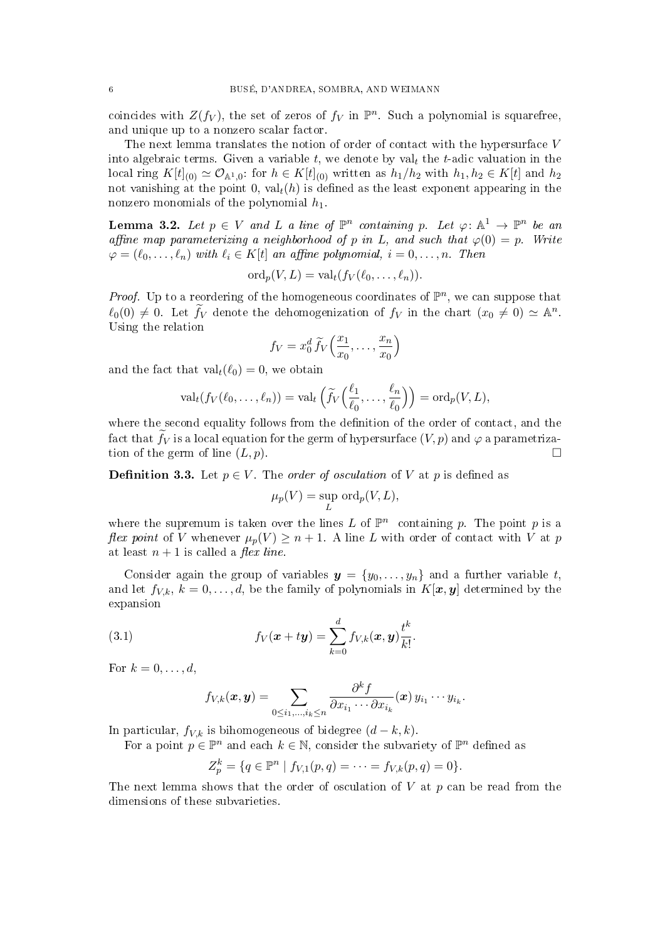coincides with  $Z(f_V)$ , the set of zeros of  $f_V$  in  $\mathbb{P}^n$ . Such a polynomial is squarefree, and unique up to a nonzero scalar factor.

The next lemma translates the notion of order of contact with the hypersurface V into algebraic terms. Given a variable t, we denote by val<sub>t</sub> the t-adic valuation in the local ring  $K[t]_{(0)} \simeq \mathcal{O}_{\mathbb{A}^1,0}$ : for  $h \in K[t]_{(0)}$  written as  $h_1/h_2$  with  $h_1, h_2 \in K[t]$  and  $h_2$ not vanishing at the point 0,  $\text{val}_t(h)$  is defined as the least exponent appearing in the nonzero monomials of the polynomial  $h_1$ .

<span id="page-5-1"></span>**Lemma 3.2.** Let  $p \in V$  and L a line of  $\mathbb{P}^n$  containing p. Let  $\varphi: \mathbb{A}^1 \to \mathbb{P}^n$  be an affine map parameterizing a neighborhood of p in L, and such that  $\varphi(0) = p$ . Write  $\varphi = (\ell_0, \ldots, \ell_n)$  with  $\ell_i \in K[t]$  an affine polynomial,  $i = 0, \ldots, n$ . Then

$$
\mathrm{ord}_p(V, L) = \mathrm{val}_t(f_V(\ell_0, \ldots, \ell_n)).
$$

*Proof.* Up to a reordering of the homogeneous coordinates of  $\mathbb{P}^n$ , we can suppose that  $\ell_0(0) \neq 0$ . Let  $\widetilde{f}_V$  denote the dehomogenization of  $f_V$  in the chart  $(x_0 \neq 0) \simeq \mathbb{A}^n$ . Using the relation

$$
f_V = x_0^d \widetilde{f}_V\left(\frac{x_1}{x_0}, \dots, \frac{x_n}{x_0}\right)
$$

and the fact that  $val_t(\ell_0) = 0$ , we obtain

$$
\mathrm{val}_{t}(f_{V}(\ell_{0},\ldots,\ell_{n}))=\mathrm{val}_{t}\left(\widetilde{f}_{V}\left(\frac{\ell_{1}}{\ell_{0}},\ldots,\frac{\ell_{n}}{\ell_{0}}\right)\right)=\mathrm{ord}_{p}(V,L),
$$

where the second equality follows from the definition of the order of contact, and the fact that  $f_V$  is a local equation for the germ of hypersurface  $(V, p)$  and  $\varphi$  a parametrization of the germ of line  $(L, p)$ .

<span id="page-5-0"></span>**Definition 3.3.** Let  $p \in V$ . The *order of osculation* of V at p is defined as

$$
\mu_p(V) = \sup_L \text{ord}_p(V, L),
$$

where the supremum is taken over the lines L of  $\mathbb{P}^n$  containing p. The point p is a flex point of V whenever  $\mu_p(V) \geq n+1$ . A line L with order of contact with V at p at least  $n + 1$  is called a *flex line*.

Consider again the group of variables  $y = \{y_0, \ldots, y_n\}$  and a further variable t, and let  $f_{V,k}, k = 0, \ldots, d$ , be the family of polynomials in  $K[\mathbf{x}, \mathbf{y}]$  determined by the expansion

(3.1) 
$$
f_V(\mathbf{x} + t\mathbf{y}) = \sum_{k=0}^d f_{V,k}(\mathbf{x}, \mathbf{y}) \frac{t^k}{k!}.
$$

For  $k = 0, \ldots, d$ ,

<span id="page-5-2"></span>
$$
f_{V,k}(\boldsymbol{x},\boldsymbol{y})=\sum_{0\leq i_1,\dots,i_k\leq n}\frac{\partial^kf}{\partial x_{i_1}\cdots\partial x_{i_k}}(\boldsymbol{x})\,y_{i_1}\cdots y_{i_k}.
$$

In particular,  $f_{V,k}$  is bihomogeneous of bidegree  $(d-k, k)$ .

For a point  $p \in \mathbb{P}^n$  and each  $k \in \mathbb{N}$ , consider the subvariety of  $\mathbb{P}^n$  defined as

$$
Z_p^k = \{q \in \mathbb{P}^n \mid f_{V,1}(p,q) = \cdots = f_{V,k}(p,q) = 0\}.
$$

The next lemma shows that the order of osculation of  $V$  at  $p$  can be read from the dimensions of these subvarieties.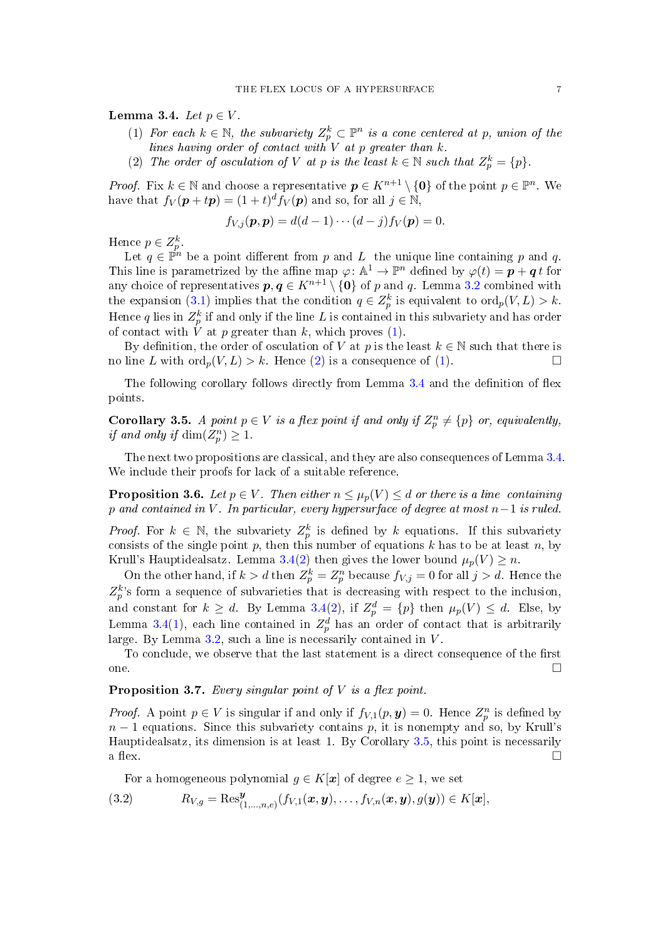<span id="page-6-3"></span><span id="page-6-1"></span>Lemma 3.4. Let  $p \in V$ .

- (1) For each  $k \in \mathbb{N}$ , the subvariety  $Z_p^k \subset \mathbb{P}^n$  is a cone centered at p, union of the lines having order of contact with  $V$  at  $p$  greater than  $k$ .
- <span id="page-6-2"></span>(2) The order of osculation of V at p is the least  $k \in \mathbb{N}$  such that  $Z_p^k = \{p\}.$

*Proof.* Fix  $k \in \mathbb{N}$  and choose a representative  $p \in K^{n+1} \setminus \{0\}$  of the point  $p \in \mathbb{P}^n$ . We have that  $f_V(\mathbf{p} + t\mathbf{p}) = (1+t)^d f_V(\mathbf{p})$  and so, for all  $j \in \mathbb{N}$ ,

$$
f_{V,j}(\boldsymbol{p},\boldsymbol{p})=d(d-1)\cdots(d-j)f_V(\boldsymbol{p})=0.
$$

Hence  $p \in Z_p^k$ .

Let  $q \in \mathbb{P}^n$  be a point different from p and L the unique line containing p and q. This line is parametrized by the affine map  $\varphi \colon \mathbb{A}^1 \to \mathbb{P}^n$  defined by  $\varphi(t) = \boldsymbol{p} + \boldsymbol{q}\,t$  for any choice of representatives  $p, q \in K^{n+1} \setminus \{0\}$  of p and q. Lemma [3.2](#page-5-1) combined with the expansion [\(3.1\)](#page-5-2) implies that the condition  $q \in Z_p^k$  is equivalent to  $\text{ord}_p(V, L) > k$ . Hence  $q$  lies in  $Z_p^k$  if and only if the line  $L$  is contained in this subvariety and has order of contact with  $V$  at  $p$  greater than  $k$ , which proves  $(1)$ .

By definition, the order of osculation of V at p is the least  $k \in \mathbb{N}$  such that there is no line L with  $\text{ord}_n(V, L) > k$ . Hence [\(2\)](#page-6-2) is a consequence of [\(1\)](#page-6-1).

The following corollary follows directly from Lemma  $3.4$  and the definition of flex points.

<span id="page-6-4"></span>**Corollary 3.5.** A point  $p \in V$  is a flex point if and only if  $Z_p^n \neq \{p\}$  or, equivalently, if and only if  $\dim(Z_p^n) \geq 1$ .

The next two propositions are classical, and they are also consequences of Lemma [3.4.](#page-6-3) We include their proofs for lack of a suitable reference.

<span id="page-6-0"></span>**Proposition 3.6.** Let  $p \in V$ . Then either  $n \leq \mu_p(V) \leq d$  or there is a line containing p and contained in V. In particular, every hypersurface of degree at most  $n-1$  is ruled.

*Proof.* For  $k \in \mathbb{N}$ , the subvariety  $Z_p^k$  is defined by k equations. If this subvariety consists of the single point  $p$ , then this number of equations  $k$  has to be at least  $n$ , by Krull's Hauptidealsatz. Lemma [3.4\(](#page-6-3)[2\)](#page-6-2) then gives the lower bound  $\mu_p(V) \geq n$ .

On the other hand, if  $k > d$  then  $Z_p^k = Z_p^n$  because  $f_{V,j} = 0$  for all  $j > d$ . Hence the  $Z_p^k$ 's form a sequence of subvarieties that is decreasing with respect to the inclusion, and constant for  $k \geq d$ . By Lemma [3.4\(](#page-6-3)[2\)](#page-6-2), if  $Z_p^d = \{p\}$  then  $\mu_p(V) \leq d$ . Else, by Lemma [3.4](#page-6-3)[\(1\)](#page-6-1), each line contained in  $Z_p^d$  has an order of contact that is arbitrarily large. By Lemma  $3.2$ , such a line is necessarily contained in  $V$ .

To conclude, we observe that the last statement is a direct consequence of the first one.

**Proposition 3.7.** Every singular point of  $V$  is a flex point.

*Proof.* A point  $p \in V$  is singular if and only if  $f_{V,1}(p, y) = 0$ . Hence  $Z_p^n$  is defined by  $n-1$  equations. Since this subvariety contains p, it is nonempty and so, by Krull's Hauptidealsatz, its dimension is at least 1. By Corollary [3.5,](#page-6-4) this point is necessarily a flex.  $\Box$ 

<span id="page-6-5"></span>For a homogeneous polynomial  $g \in K[\mathbf{x}]$  of degree  $e \geq 1$ , we set

(3.2) 
$$
R_{V,g} = \text{Res}^{\mathbf{y}}_{(1,...,n,e)}(f_{V,1}(\mathbf{x}, \mathbf{y}), \ldots, f_{V,n}(\mathbf{x}, \mathbf{y}), g(\mathbf{y})) \in K[\mathbf{x}],
$$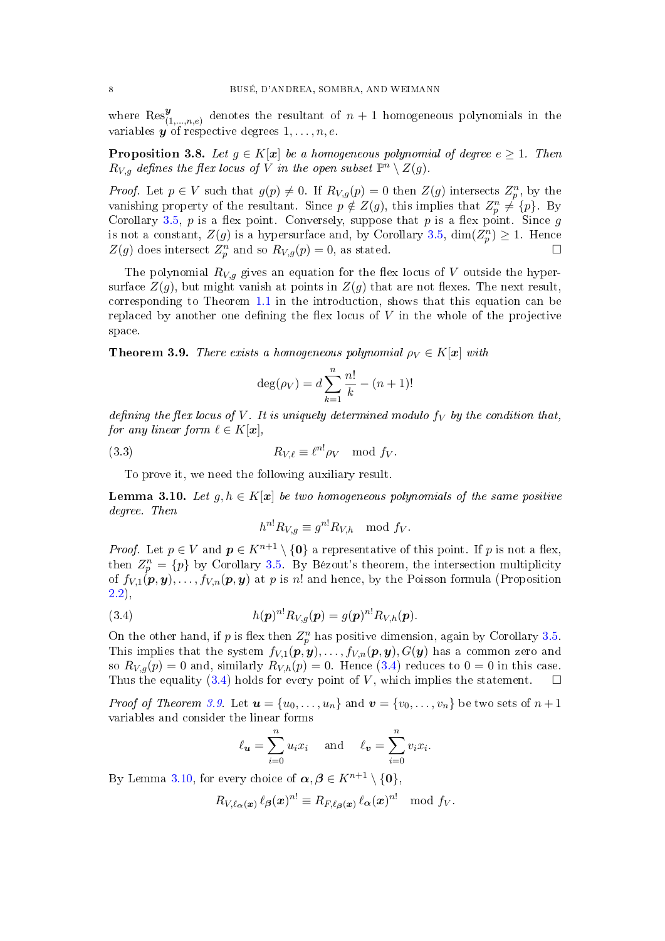where  $\text{Res}_{(1,\ldots,n,e)}^y$  denotes the resultant of  $n+1$  homogeneous polynomials in the variables  $y$  of respective degrees  $1, \ldots, n, e$ .

<span id="page-7-4"></span>**Proposition 3.8.** Let  $q \in K[x]$  be a homogeneous polynomial of degree  $e > 1$ . Then  $R_{V,g}$  defines the flex locus of  $\widetilde{V}$  in the open subset  $\mathbb{P}^n\setminus Z(g)$ .

*Proof.* Let  $p \in V$  such that  $g(p) \neq 0$ . If  $R_{V,g}(p) = 0$  then  $Z(g)$  intersects  $Z_p^n$ , by the vanishing property of the resultant. Since  $p \notin Z(g)$ , this implies that  $Z_p^n \neq \{p\}$ . By Corollary [3.5,](#page-6-4)  $p$  is a flex point. Conversely, suppose that  $p$  is a flex point. Since  $g$ is not a constant,  $Z(g)$  is a hypersurface and, by Corollary [3.5,](#page-6-4)  $\dim(Z_p^n) \geq 1$ . Hence  $Z(g)$  does intersect  $Z_p^n$  and so  $R_{V,g}(p) = 0$ , as stated.

The polynomial  $R_{V,g}$  gives an equation for the flex locus of V outside the hypersurface  $Z(g)$ , but might vanish at points in  $Z(g)$  that are not flexes. The next result, corresponding to Theorem [1.1](#page-1-0) in the introduction, shows that this equation can be replaced by another one defining the flex locus of  $V$  in the whole of the projective space.

<span id="page-7-1"></span>**Theorem 3.9.** There exists a homogeneous polynomial  $\rho_V \in K[x]$  with

<span id="page-7-3"></span>
$$
\deg(\rho_V) = d \sum_{k=1}^{n} \frac{n!}{k} - (n+1)!
$$

defining the flex locus of V. It is uniquely determined modulo  $f_V$  by the condition that, for any linear form  $\ell \in K[\boldsymbol{x}],$ 

(3.3) 
$$
R_{V,\ell} \equiv \ell^{n!} \rho_V \mod f_V.
$$

To prove it, we need the following auxiliary result.

<span id="page-7-2"></span>**Lemma 3.10.** Let  $q, h \in K[x]$  be two homogeneous polynomials of the same positive degree. Then

<span id="page-7-0"></span>
$$
h^{n!}R_{V,g} \equiv g^{n!}R_{V,h} \mod f_V.
$$

*Proof.* Let  $p \in V$  and  $p \in K^{n+1} \setminus \{0\}$  a representative of this point. If p is not a flex, then  $Z_p^n = \{p\}$  by Corollary [3.5.](#page-6-4) By Bézout's theorem, the intersection multiplicity of  $f_{V,1}(\boldsymbol{p}, \boldsymbol{y}), \ldots, f_{V,n}(\boldsymbol{p}, \boldsymbol{y})$  at p is n! and hence, by the Poisson formula (Proposition [2.2\)](#page-4-1),

(3.4) 
$$
h(\boldsymbol{p})^{n!} R_{V,g}(\boldsymbol{p}) = g(\boldsymbol{p})^{n!} R_{V,h}(\boldsymbol{p}).
$$

On the other hand, if p is flex then  $Z_p^n$  has positive dimension, again by Corollary [3.5.](#page-6-4) This implies that the system  $f_{V,1}(\boldsymbol{p}, \boldsymbol{y}), \ldots, f_{V,n}(\boldsymbol{p}, \boldsymbol{y}), G(\boldsymbol{y})$  has a common zero and so  $R_{V,q}(p) = 0$  and, similarly  $R_{V,h}(p) = 0$ . Hence [\(3.4\)](#page-7-0) reduces to  $0 = 0$  in this case. Thus the equality [\(3.4\)](#page-7-0) holds for every point of V, which implies the statement.  $\square$ 

*Proof of Theorem [3.9.](#page-7-1)* Let  $u = \{u_0, \ldots, u_n\}$  and  $v = \{v_0, \ldots, v_n\}$  be two sets of  $n+1$ variables and consider the linear forms

$$
\ell_{\boldsymbol{u}} = \sum_{i=0}^{n} u_i x_i
$$
 and  $\ell_{\boldsymbol{v}} = \sum_{i=0}^{n} v_i x_i$ .

By Lemma [3.10,](#page-7-2) for every choice of  $\boldsymbol{\alpha}, \boldsymbol{\beta} \in K^{n+1} \setminus \{\boldsymbol{0}\},$ 

$$
R_{V,\ell_{\boldsymbol{\alpha}}(\boldsymbol{x})}\,\ell_{\boldsymbol{\beta}}(\boldsymbol{x})^{n!}\equiv R_{F,\ell_{\boldsymbol{\beta}}(\boldsymbol{x})}\,\ell_{\boldsymbol{\alpha}}(\boldsymbol{x})^{n!}\mod f_V.
$$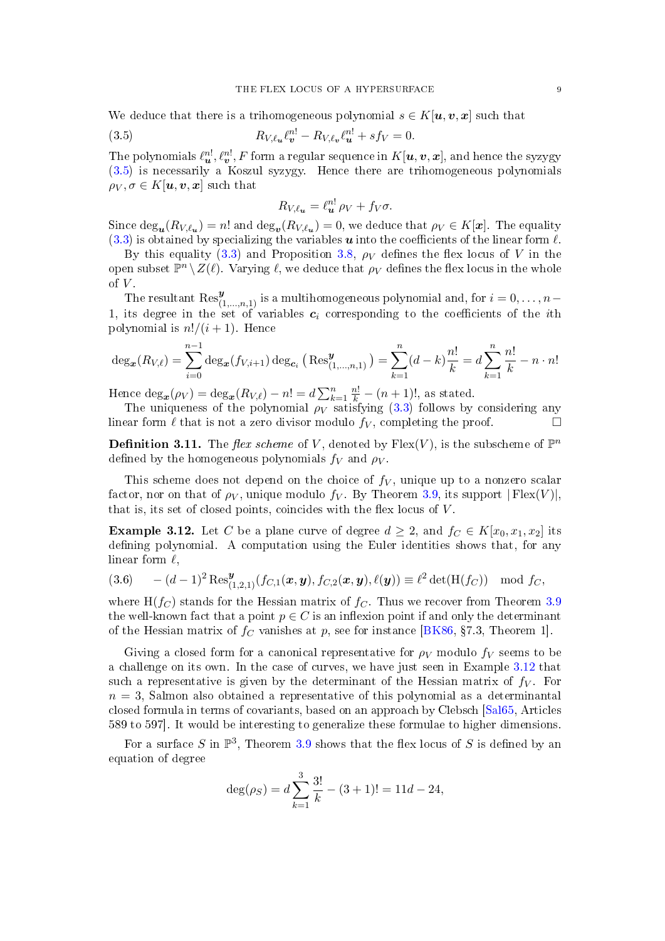We deduce that there is a trihomogeneous polynomial  $s \in K[\boldsymbol{u}, \boldsymbol{v}, \boldsymbol{x}]$  such that

(3.5) 
$$
R_{V,\ell_{\boldsymbol{u}}} \ell_{\boldsymbol{v}}^{n!} - R_{V,\ell_{\boldsymbol{v}}} \ell_{\boldsymbol{u}}^{n!} + sf_V = 0.
$$

The polynomials  $\ell_{\bm u}^{n!}, \ell_{\bm v}^{n!}, F$  form a regular sequence in  $K[\bm u,\bm v,\bm x],$  and hence the syzygy [\(3.5\)](#page-8-1) is necessarily a Koszul syzygy. Hence there are trihomogeneous polynomials  $\rho_V, \sigma \in K[\boldsymbol{u}, \boldsymbol{v}, \boldsymbol{x}]$  such that

<span id="page-8-1"></span>
$$
R_{V,\ell_{\boldsymbol{u}}}=\ell_{\boldsymbol{u}}^{n!}\,\rho_V+f_V\sigma.
$$

Since  $\text{deg}_{\mathbf{u}}(R_{V,\ell_{\mathbf{u}}}) = n!$  and  $\text{deg}_{\mathbf{v}}(R_{V,\ell_{\mathbf{u}}}) = 0$ , we deduce that  $\rho_V \in K[\mathbf{x}]$ . The equality  $(3.3)$  is obtained by specializing the variables **u** into the coefficients of the linear form  $\ell$ .

By this equality [\(3.3\)](#page-7-3) and Proposition [3.8,](#page-7-4)  $\rho_V$  defines the flex locus of V in the open subset  $\mathbb{P}^n \setminus Z(\ell)$ . Varying  $\ell$ , we deduce that  $\rho_V$  defines the flex locus in the whole of  $V$ .

The resultant  $\text{Res}^{\mathbf{y}}_{(1,...,n,1)}$  is a multihomogeneous polynomial and, for  $i = 0, \ldots, n-1$ 1, its degree in the set of variables  $c_i$  corresponding to the coefficients of the *i*th polynomial is  $n!/(i+1)$ . Hence

$$
\deg_{\mathbf{x}}(R_{V,\ell}) = \sum_{i=0}^{n-1} \deg_{\mathbf{x}}(f_{V,i+1}) \deg_{\mathbf{c}_i} \left( \operatorname{Res}_{(1,\ldots,n,1)}^{\mathbf{y}} \right) = \sum_{k=1}^{n} (d-k) \frac{n!}{k} = d \sum_{k=1}^{n} \frac{n!}{k} - n \cdot n!
$$

Hence  $\deg_x(\rho_V) = \deg_x(R_{V,\ell}) - n! = d \sum_{k=1}^n \frac{n!}{k} - (n+1)!$ , as stated.

The uniqueness of the polynomial  $\rho_V$  satisfying [\(3.3\)](#page-7-3) follows by considering any linear form  $\ell$  that is not a zero divisor modulo  $f_V$ , completing the proof.

<span id="page-8-0"></span>**Definition 3.11.** The *flex scheme* of V, denoted by  $F$ lex $(V)$ , is the subscheme of  $\mathbb{P}^n$ defined by the homogeneous polynomials  $f_V$  and  $\rho_V$ .

This scheme does not depend on the choice of  $f_V$ , unique up to a nonzero scalar factor, nor on that of  $\rho_V$ , unique modulo  $f_V$ . By Theorem [3.9,](#page-7-1) its support  $|Flex(V)|$ , that is, its set of closed points, coincides with the flex locus of  $V$ .

<span id="page-8-2"></span>**Example 3.12.** Let C be a plane curve of degree  $d \geq 2$ , and  $f_C \in K[x_0, x_1, x_2]$  its defining polynomial. A computation using the Euler identities shows that, for any linear form  $\ell$ ,

$$
(3.6) \qquad -(d-1)^2 \operatorname{Res}^{\mathbf{y}}_{(1,2,1)}(f_{C,1}(\mathbf{x}, \mathbf{y}), f_{C,2}(\mathbf{x}, \mathbf{y}), \ell(\mathbf{y})) \equiv \ell^2 \det(\mathbf{H}(f_C)) \mod f_C,
$$

where  $H(f_C)$  stands for the Hessian matrix of  $f_C$ . Thus we recover from Theorem [3.9](#page-7-1) the well-known fact that a point  $p \in C$  is an inflexion point if and only the determinant of the Hessian matrix of  $f_C$  vanishes at p, see for instance [\[BK86,](#page-14-13) §7.3, Theorem 1].

Giving a closed form for a canonical representative for  $\rho_V$  modulo  $f_V$  seems to be a challenge on its own. In the case of curves, we have just seen in Example [3.12](#page-8-2) that such a representative is given by the determinant of the Hessian matrix of  $f_V$ . For  $n = 3$ , Salmon also obtained a representative of this polynomial as a determinantal closed formula in terms of covariants, based on an approach by Clebsch [\[Sal65,](#page-14-8) Articles 589 to 597]. It would be interesting to generalize these formulae to higher dimensions.

For a surface S in  $\mathbb{P}^3$ , Theorem [3.9](#page-7-1) shows that the flex locus of S is defined by an equation of degree

$$
\deg(\rho_S) = d \sum_{k=1}^{3} \frac{3!}{k} - (3+1)! = 11d - 24,
$$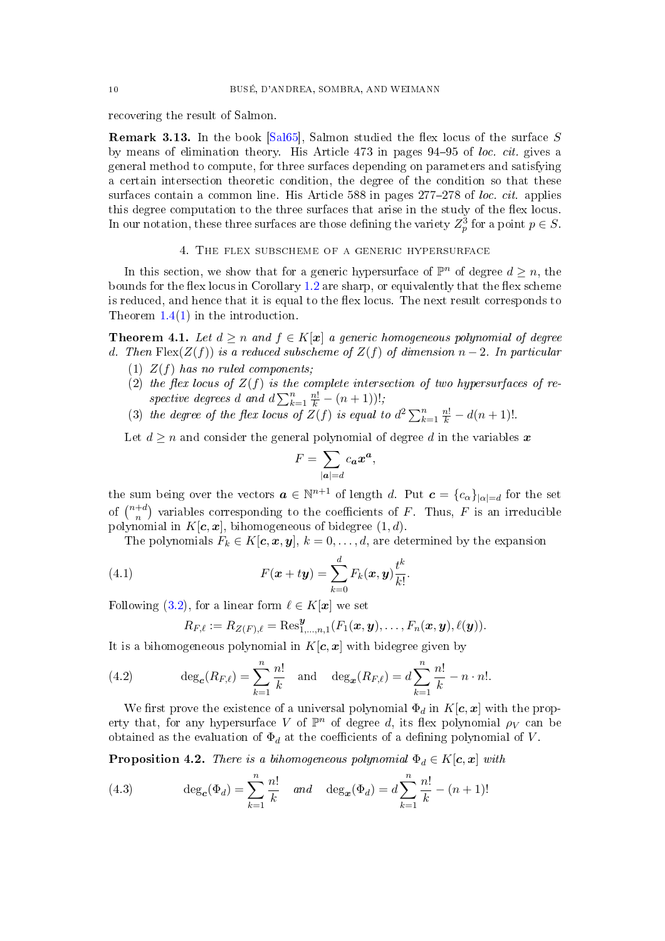recovering the result of Salmon.

<span id="page-9-0"></span>**Remark 3.13.** In the book  $[Sa165]$ , Salmon studied the flex locus of the surface S by means of elimination theory. His Article  $473$  in pages  $94-95$  of loc. cit. gives a general method to compute, for three surfaces depending on parameters and satisfying a certain intersection theoretic condition, the degree of the condition so that these surfaces contain a common line. His Article 588 in pages  $277-278$  of loc. cit. applies this degree computation to the three surfaces that arise in the study of the flex locus. In our notation, these three surfaces are those defining the variety  $Z_p^3$  for a point  $p \in S$ .

4. The flex subscheme of a generic hypersurface

<span id="page-9-1"></span>In this section, we show that for a generic hypersurface of  $\mathbb{P}^n$  of degree  $d \geq n$ , the bounds for the flex locus in Corollary  $1.2$  are sharp, or equivalently that the flex scheme is reduced, and hence that it is equal to the flex locus. The next result corresponds to Theorem  $1.4(1)$  $1.4(1)$  in the introduction.

<span id="page-9-5"></span>**Theorem 4.1.** Let  $d > n$  and  $f \in K[x]$  a generic homogeneous polynomial of degree d. Then  $Flex(Z(f))$  is a reduced subscheme of  $Z(f)$  of dimension  $n-2$ . In particular

- (1)  $Z(f)$  has no ruled components;
- (2) the flex locus of  $Z(f)$  is the complete intersection of two hypersurfaces of respective degrees d and  $d\sum_{k=1}^n \frac{n!}{k} - (n+1)!$ ;
- (3) the degree of the flex locus of  $Z(f)$  is equal to  $d^2\sum_{k=1}^n \frac{n!}{k} d(n+1)!$ .

Let  $d \geq n$  and consider the general polynomial of degree d in the variables x

$$
F = \sum_{|\bm{a}| = d} c_{\bm{a}} \bm{x}^{\bm{a}},
$$

the sum being over the vectors  $\boldsymbol{a} \in \mathbb{N}^{n+1}$  of length d. Put  $\boldsymbol{c} = \{c_{\alpha}\}_{|\alpha|=d}$  for the set of  $\binom{n+d}{n}$  $n^{+d}$ ) variables corresponding to the coefficients of F. Thus, F is an irreducible polynomial in  $K[c, x]$ , bihomogeneous of bidegree  $(1, d)$ .

The polynomials  $F_k \in K[\mathbf{c}, \mathbf{x}, \mathbf{y}], k = 0, \ldots, d$ , are determined by the expansion

.

(4.1) 
$$
F(\boldsymbol{x} + t\boldsymbol{y}) = \sum_{k=0}^{d} F_k(\boldsymbol{x}, \boldsymbol{y}) \frac{t^k}{k!}
$$

Following [\(3.2\)](#page-6-5), for a linear form  $\ell \in K[\mathbf{x}]$  we set

<span id="page-9-6"></span><span id="page-9-3"></span>
$$
R_{F,\ell}:=R_{Z(F),\ell}=\mathrm{Res}^{\boldsymbol{y}}_{1,\ldots,n,1}(F_1(\boldsymbol{x},\boldsymbol{y}),\ldots,F_n(\boldsymbol{x},\boldsymbol{y}),\ell(\boldsymbol{y})).
$$

It is a bihomogeneous polynomial in  $K[c, x]$  with bidegree given by

(4.2) 
$$
\deg_{\mathbf{c}}(R_{F,\ell}) = \sum_{k=1}^{n} \frac{n!}{k} \text{ and } \deg_{\mathbf{c}}(R_{F,\ell}) = d \sum_{k=1}^{n} \frac{n!}{k} - n \cdot n!.
$$

We first prove the existence of a universal polynomial  $\Phi_d$  in  $K[c, x]$  with the property that, for any hypersurface V of  $\mathbb{P}^n$  of degree d, its flex polynomial  $\rho_V$  can be obtained as the evaluation of  $\Phi_d$  at the coefficients of a defining polynomial of V.

<span id="page-9-4"></span>**Proposition 4.2.** There is a bihomogeneous polynomial  $\Phi_d \in K[c, x]$  with

<span id="page-9-2"></span>(4.3) 
$$
\deg_{\mathbf{c}}(\Phi_d) = \sum_{k=1}^n \frac{n!}{k} \quad \text{and} \quad \deg_{\mathbf{c}}(\Phi_d) = d \sum_{k=1}^n \frac{n!}{k} - (n+1)!
$$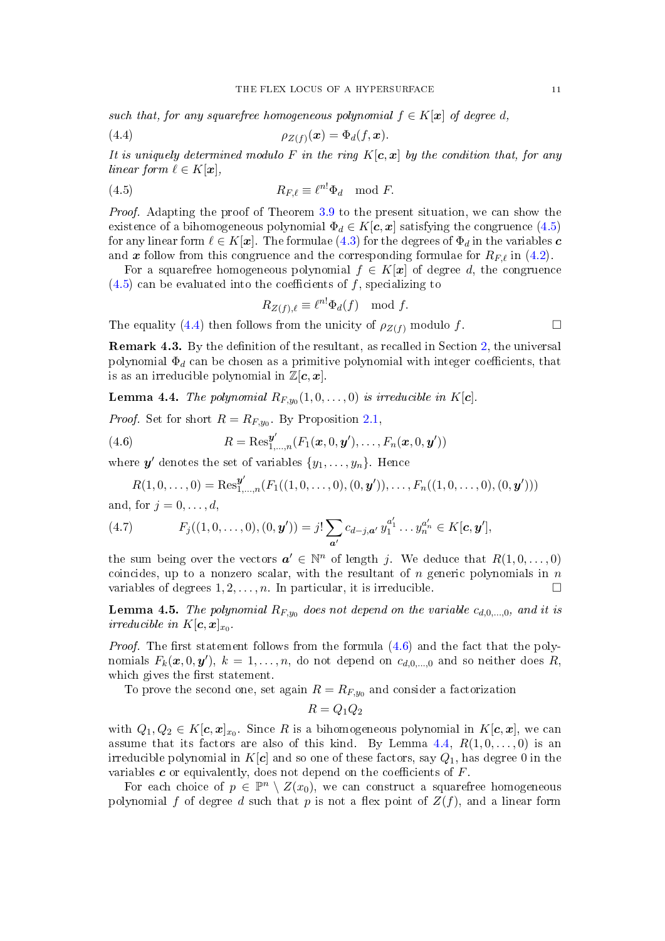such that, for any squarefree homogeneous polynomial  $f \in K[\mathbf{x}]$  of degree d,

<span id="page-10-1"></span>
$$
\rho_{Z(f)}(\boldsymbol{x}) = \Phi_d(f, \boldsymbol{x}).
$$

It is uniquely determined modulo F in the ring  $K[c, x]$  by the condition that, for any linear form  $\ell \in K[\mathbf{x}],$ 

(4.5) 
$$
R_{F,\ell} \equiv \ell^{n!} \Phi_d \mod F.
$$

Proof. Adapting the proof of Theorem [3.9](#page-7-1) to the present situation, we can show the existence of a bihomogeneous polynomial  $\Phi_d \in K[\mathbf{c}, \mathbf{x}]$  satisfying the congruence [\(4.5\)](#page-10-0) for any linear form  $\ell \in K[\mathbf{x}]$ . The formulae [\(4.3\)](#page-9-2) for the degrees of  $\Phi_d$  in the variables  $\mathbf{c}$ and x follow from this congruence and the corresponding formulae for  $R_{F,\ell}$  in [\(4.2\)](#page-9-3).

For a squarefree homogeneous polynomial  $f \in K[\mathbf{x}]$  of degree d, the congruence  $(4.5)$  can be evaluated into the coefficients of f, specializing to

<span id="page-10-0"></span>
$$
R_{Z(f),\ell} \equiv \ell^{n!} \Phi_d(f) \mod f.
$$

The equality [\(4.4\)](#page-10-1) then follows from the unicity of  $\rho_{Z(f)}$  modulo f.

**Remark 4.3.** By the definition of the resultant, as recalled in Section [2,](#page-3-0) the universal polynomial  $\Phi_d$  can be chosen as a primitive polynomial with integer coefficients, that is as an irreducible polynomial in  $\mathbb{Z}[c, x]$ .

<span id="page-10-3"></span>**Lemma 4.4.** The polynomial  $R_{F,y_0}(1,0,\ldots,0)$  is irreducible in  $K[\mathbf{c}]$ .

*Proof.* Set for short  $R = R_{F,y_0}$ . By Proposition [2.1,](#page-3-1)

(4.6) 
$$
R = \text{Res}_{1,...,n}^{\mathbf{y}'}(F_1(\mathbf{x}, 0, \mathbf{y}'), \dots, F_n(\mathbf{x}, 0, \mathbf{y}'))
$$

where  $y'$  denotes the set of variables  $\{y_1, \ldots, y_n\}$ . Hence

<span id="page-10-5"></span><span id="page-10-2"></span>
$$
R(1,0,\ldots,0)=\operatorname{Res}_{1,\ldots,n}^{\boldsymbol{y}'}(F_1((1,0,\ldots,0),(0,\boldsymbol{y}')),\ldots,F_n((1,0,\ldots,0),(0,\boldsymbol{y}')))
$$

and, for  $j = 0, \ldots, d$ ,

(4.7) 
$$
F_j((1,0,\ldots,0),(0,\mathbf{y}'))=j!\sum_{\mathbf{a}'}c_{d-j,\mathbf{a}'}y_1^{a'_1}\ldots y_n^{a'_n}\in K[\mathbf{c},\mathbf{y}'],
$$

the sum being over the vectors  $a' \in \mathbb{N}^n$  of length j. We deduce that  $R(1,0,\ldots,0)$ coincides, up to a nonzero scalar, with the resultant of n generic polynomials in  $n$ variables of degrees  $1, 2, \ldots, n$ . In particular, it is irreducible.

<span id="page-10-4"></span>**Lemma 4.5.** The polynomial  $R_{F,y_0}$  does not depend on the variable  $c_{d,0,...,0}$ , and it is irreducible in  $K[\mathbf{c}, \mathbf{x}]_{x_0}$ .

*Proof.* The first statement follows from the formula  $(4.6)$  and the fact that the polynomials  $F_k(\boldsymbol{x}, 0, \boldsymbol{y}')$ ,  $k = 1, \ldots, n$ , do not depend on  $c_{d,0,\ldots,0}$  and so neither does R, which gives the first statement.

To prove the second one, set again  $R = R_{F,y_0}$  and consider a factorization

$$
R=Q_1Q_2
$$

with  $Q_1, Q_2 \in K[\mathbf{c}, \mathbf{x}]_{x_0}$ . Since R is a bihomogeneous polynomial in  $K[\mathbf{c}, \mathbf{x}]$ , we can assume that its factors are also of this kind. By Lemma [4.4,](#page-10-3)  $R(1,0,\ldots,0)$  is an irreducible polynomial in K[c] and so one of these factors, say  $Q_1$ , has degree 0 in the variables  $c$  or equivalently, does not depend on the coefficients of  $F$ .

For each choice of  $p \in \mathbb{P}^n \setminus Z(x_0)$ , we can construct a squarefree homogeneous polynomial f of degree d such that p is not a flex point of  $Z(f)$ , and a linear form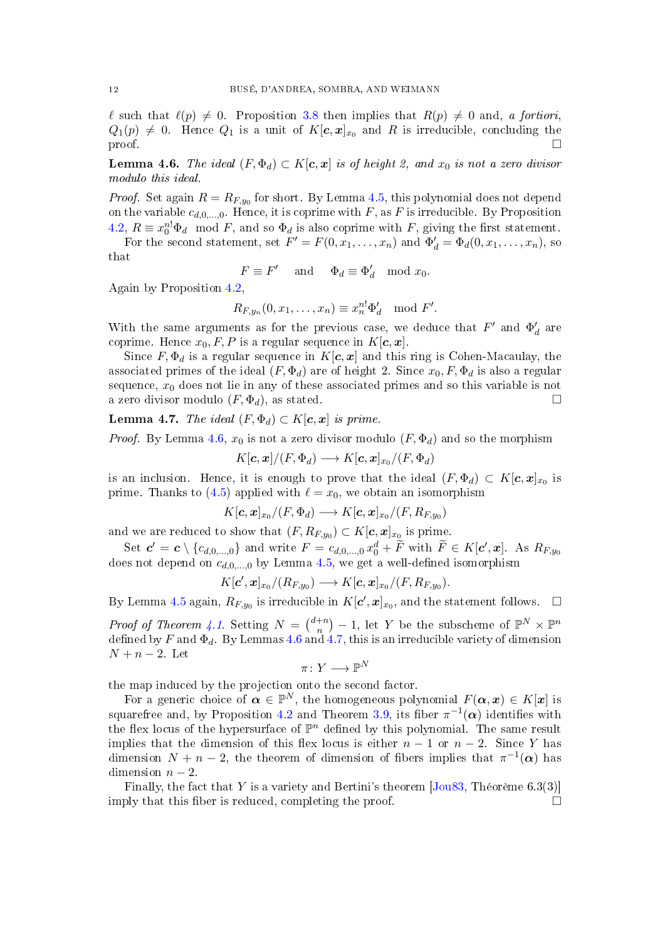$\ell$  such that  $\ell(p) \neq 0$ . Proposition [3.8](#page-7-4) then implies that  $R(p) \neq 0$  and, a fortiori,  $Q_1(p) \neq 0$ . Hence  $Q_1$  is a unit of  $K[\boldsymbol{c}, \boldsymbol{x}]_{x_0}$  and R is irreducible, concluding the  $\Box$ 

<span id="page-11-0"></span>**Lemma 4.6.** The ideal  $(F, \Phi_d) \subset K[c, x]$  is of height 2, and  $x_0$  is not a zero divisor modulo this ideal.

*Proof.* Set again  $R = R_{F,y_0}$  for short. By Lemma [4.5,](#page-10-4) this polynomial does not depend on the variable  $c_{d,0,\dots,0}$ . Hence, it is coprime with F, as F is irreducible. By Proposition [4.2,](#page-9-4)  $R \equiv x_0^{n!} \Phi_d \mod F$ , and so  $\Phi_d$  is also coprime with F, giving the first statement.

For the second statement, set  $F' = F(0, x_1, \ldots, x_n)$  and  $\Phi'_d = \Phi_d(0, x_1, \ldots, x_n)$ , so that

$$
F \equiv F' \quad \text{ and } \quad \Phi_d \equiv \Phi'_d \mod x_0.
$$

Again by Proposition [4.2,](#page-9-4)

$$
R_{F,y_n}(0,x_1,\ldots,x_n)\equiv x_n^{n!}\Phi_d'\mod F'.
$$

With the same arguments as for the previous case, we deduce that  $F'$  and  $\Phi_d'$  are coprime. Hence  $x_0, F, P$  is a regular sequence in  $K[c, x]$ .

Since  $F, \Phi_d$  is a regular sequence in  $K[c, x]$  and this ring is Cohen-Macaulay, the associated primes of the ideal  $(F, \Phi_d)$  are of height 2. Since  $x_0, F, \Phi_d$  is also a regular sequence,  $x_0$  does not lie in any of these associated primes and so this variable is not a zero divisor modulo  $(F, \Phi_d)$ , as stated.

<span id="page-11-1"></span>Lemma 4.7. The ideal  $(F, \Phi_d) \subset K[c, x]$  is prime.

*Proof.* By Lemma [4.6,](#page-11-0)  $x_0$  is not a zero divisor modulo  $(F, \Phi_d)$  and so the morphism

 $K[\boldsymbol{c},\boldsymbol{x}]/(F,\Phi_d) \longrightarrow K[\boldsymbol{c},\boldsymbol{x}]_{x_0}/(F,\Phi_d)$ 

is an inclusion. Hence, it is enough to prove that the ideal  $(F, \Phi_d) \subset K[\boldsymbol{c}, \boldsymbol{x}]_{x_0}$  is prime. Thanks to [\(4.5\)](#page-10-0) applied with  $\ell = x_0$ , we obtain an isomorphism

$$
K[\boldsymbol{c},\boldsymbol{x}]_{x_0}/(F,\Phi_d)\longrightarrow K[\boldsymbol{c},\boldsymbol{x}]_{x_0}/(F,R_{F,y_0})
$$

and we are reduced to show that  $(F, R_{F, y_0}) \subset K[\boldsymbol{c}, \boldsymbol{x}]_{x_0}$  is prime.

Set  $c' = c \setminus \{c_{d,0,\dots,0}\}\$ and write  $F = c_{d,0,\dots,0} x_0^d + \widetilde{F}$  with  $\widetilde{F} \in K[c',x]$ . As  $R_{F,y_0}$ does not depend on  $c_{d,0,...,0}$  by Lemma [4.5,](#page-10-4) we get a well-defined isomorphism

$$
K[\mathbf{c}', \mathbf{x}]_{x_0}/(R_{F,y_0}) \longrightarrow K[\mathbf{c}, \mathbf{x}]_{x_0}/(F, R_{F,y_0}).
$$

By Lemma [4.5](#page-10-4) again,  $R_{F,y_0}$  is irreducible in  $K[c', \mathbf{x}]_{x_0}$ , and the statement follows.  $\Box$ 

*Proof of Theorem [4.1.](#page-9-5)* Setting  $N = \binom{d+n}{n}$  $\binom{+n}{n}-1$ , let Y be the subscheme of  $\mathbb{P}^N\times\mathbb{P}^n$ defined by  $F$  and  $\Phi_d$  . By Lemmas  $4.6$  and  $4.7,$  this is an irreducible variety of dimension  $N + n - 2$ . Let

$$
\pi\colon Y\longrightarrow \mathbb{P}^N
$$

the map induced by the projection onto the second factor.

For a generic choice of  $\boldsymbol{\alpha} \in \mathbb{P}^N$ , the homogeneous polynomial  $F(\boldsymbol{\alpha}, \boldsymbol{x}) \in K[\boldsymbol{x}]$  is squarefree and, by Proposition [4.2](#page-9-4) and Theorem [3.9,](#page-7-1) its fiber  $\pi^{-1}(\boldsymbol{\alpha})$  identifies with the flex locus of the hypersurface of  $\mathbb{P}^n$  defined by this polynomial. The same result implies that the dimension of this flex locus is either  $n-1$  or  $n-2$ . Since Y has dimension  $N + n - 2$ , the theorem of dimension of fibers implies that  $\pi^{-1}(\alpha)$  has dimension  $n-2$ .

Finally, the fact that Y is a variety and Bertini's theorem  $[Jou83, Théorème 6.3(3)]$  $[Jou83, Théorème 6.3(3)]$ imply that this fiber is reduced, completing the proof.  $\Box$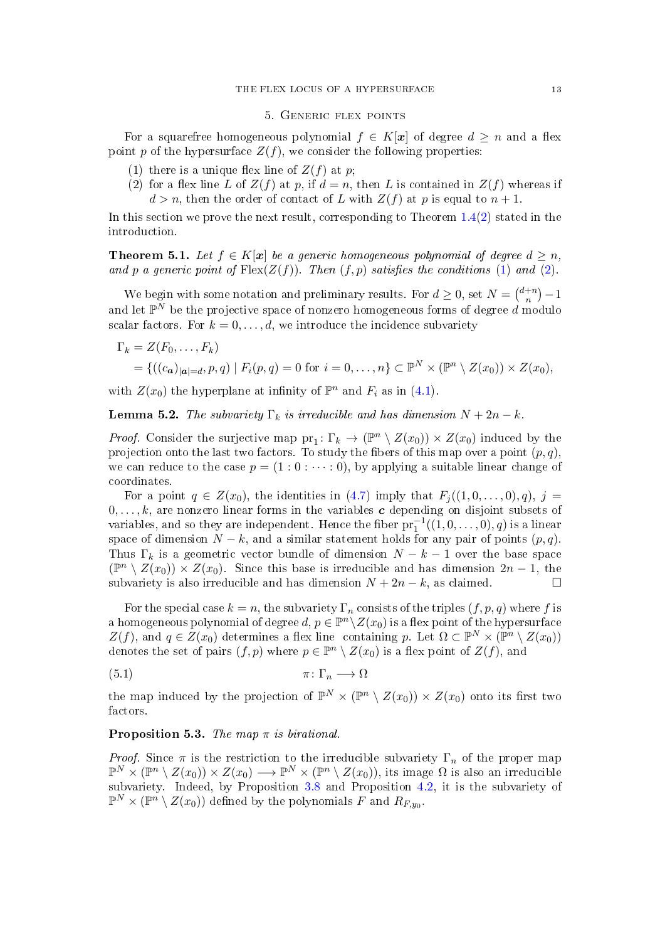## 5. Generic flex points

<span id="page-12-0"></span>For a squarefree homogeneous polynomial  $f \in K[\mathbf{x}]$  of degree  $d \geq n$  and a flex point p of the hypersurface  $Z(f)$ , we consider the following properties:

- <span id="page-12-1"></span>(1) there is a unique flex line of  $Z(f)$  at p;
- <span id="page-12-2"></span>(2) for a flex line L of  $Z(f)$  at p, if  $d = n$ , then L is contained in  $Z(f)$  whereas if  $d > n$ , then the order of contact of L with  $Z(f)$  at p is equal to  $n + 1$ .

In this section we prove the next result, corresponding to Theorem  $1.4(2)$  $1.4(2)$  stated in the introduction.

<span id="page-12-3"></span>**Theorem 5.1.** Let  $f \in K[x]$  be a generic homogeneous polynomial of degree  $d \geq n$ , and p a generic point of  $Flex(Z(f))$ . Then  $(f, p)$  satisfies the conditions [\(1\)](#page-12-1) and [\(2\)](#page-12-2).

We begin with some notation and preliminary results. For  $d \geq 0$ , set  $N = \binom{d+n}{n}$  $\binom{+n}{n} - 1$ and let  $\mathbb{P}^N$  be the projective space of nonzero homogeneous forms of degree  $d$  modulo scalar factors. For  $k = 0, \ldots, d$ , we introduce the incidence subvariety

$$
\Gamma_k = Z(F_0, \dots, F_k)
$$
  
= {((c<sub>a</sub>)<sub>|a|=d</sub>, p, q) | F<sub>i</sub>(p, q) = 0 for  $i = 0, \dots, n$ }  $\subset \mathbb{P}^N \times (\mathbb{P}^n \setminus Z(x_0)) \times Z(x_0),$ 

with  $Z(x_0)$  the hyperplane at infinity of  $\mathbb{P}^n$  and  $F_i$  as in [\(4.1\)](#page-9-6).

<span id="page-12-6"></span>**Lemma 5.2.** The subvariety  $\Gamma_k$  is irreducible and has dimension  $N + 2n - k$ .

*Proof.* Consider the surjective map  $pr_1: \Gamma_k \to (\mathbb{P}^n \setminus Z(x_0)) \times Z(x_0)$  induced by the projection onto the last two factors. To study the fibers of this map over a point  $(p, q)$ , we can reduce to the case  $p = (1:0:\cdots:0)$ , by applying a suitable linear change of coordinates.

For a point  $q \in Z(x_0)$ , the identities in [\(4.7\)](#page-10-5) imply that  $F_j((1,0,\ldots,0),q), j =$  $0, \ldots, k$ , are nonzero linear forms in the variables c depending on disjoint subsets of variables, and so they are independent. Hence the fiber  $pr_1^{-1}((1,0,\ldots,0),q)$  is a linear space of dimension  $N - k$ , and a similar statement holds for any pair of points  $(p, q)$ . Thus  $\Gamma_k$  is a geometric vector bundle of dimension  $N - k - 1$  over the base space  $(\mathbb{P}^n\setminus Z(x_0))\times Z(x_0)$ . Since this base is irreducible and has dimension  $2n-1$ , the subvariety is also irreducible and has dimension  $N + 2n - k$ , as claimed.

For the special case  $k = n$ , the subvariety  $\Gamma_n$  consists of the triples  $(f, p, q)$  where f is a homogeneous polynomial of degree  $d, p \in \mathbb{P}^n \setminus Z(x_0)$  is a flex point of the hypersurface  $Z(f)$ , and  $q \in Z(x_0)$  determines a flex line containing p. Let  $\Omega \subset \mathbb{P}^N \times (\mathbb{P}^n \setminus Z(x_0))$ denotes the set of pairs  $(f, p)$  where  $p \in \mathbb{P}^n \setminus Z(x_0)$  is a flex point of  $Z(f)$ , and

<span id="page-12-5"></span>
$$
\pi \colon \Gamma_n \longrightarrow \Omega
$$

the map induced by the projection of  $\mathbb{P}^N \times (\mathbb{P}^n \setminus Z(x_0)) \times Z(x_0)$  onto its first two factors.

# <span id="page-12-4"></span>**Proposition 5.3.** The map  $\pi$  is birational.

*Proof.* Since  $\pi$  is the restriction to the irreducible subvariety  $\Gamma_n$  of the proper map  $\mathbb{P}^N\times (\mathbb{P}^n\setminus Z(x_0))\times Z(x_0)\longrightarrow \mathbb{P}^N\times (\mathbb{P}^n\setminus Z(x_0)),$  its image  $\Omega$  is also an irreducible subvariety. Indeed, by Proposition [3.8](#page-7-4) and Proposition [4.2,](#page-9-4) it is the subvariety of  $\mathbb{P}^N \times (\mathbb{P}^n \setminus Z(x_0))$  defined by the polynomials F and  $R_{F,y_0}$ .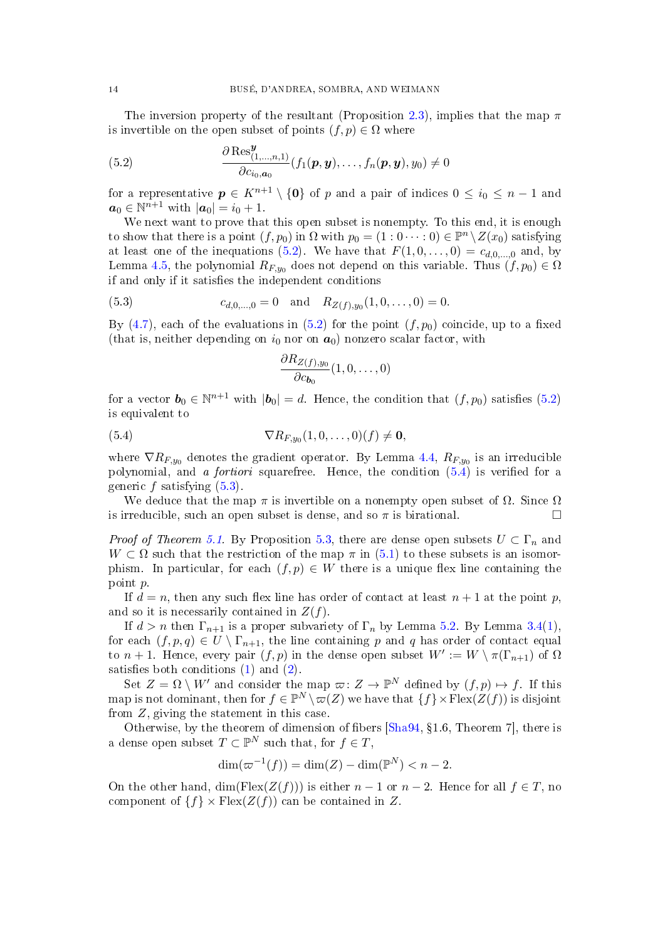The inversion property of the resultant (Proposition [2.3\)](#page-4-2), implies that the map  $\pi$ is invertible on the open subset of points  $(f, p) \in \Omega$  where

<span id="page-13-0"></span>(5.2) 
$$
\frac{\partial \operatorname{Res}_{(1,...,n,1)}^{\boldsymbol{y}}}{\partial c_{i_0,a_0}}(f_1(\boldsymbol{p},\boldsymbol{y}),\ldots,f_n(\boldsymbol{p},\boldsymbol{y}),y_0) \neq 0
$$

for a representative  $p \in K^{n+1} \setminus \{0\}$  of p and a pair of indices  $0 \leq i_0 \leq n-1$  and  $a_0 \in \mathbb{N}^{n+1}$  with  $|a_0| = i_0 + 1$ .

We next want to prove that this open subset is nonempty. To this end, it is enough to show that there is a point  $(f, p_0)$  in  $\Omega$  with  $p_0 = (1 : 0 \cdots : 0) \in \mathbb{P}^n \setminus Z(x_0)$  satisfying at least one of the inequations  $(5.2)$ . We have that  $F(1, 0, \ldots, 0) = c_{d,0,\ldots,0}$  and, by Lemma [4.5,](#page-10-4) the polynomial  $R_{F,y_0}$  does not depend on this variable. Thus  $(f, p_0) \in \Omega$ if and only if it satisfies the independent conditions

(5.3) 
$$
c_{d,0,\dots,0} = 0 \text{ and } R_{Z(f),y_0}(1,0,\dots,0) = 0.
$$

By [\(4.7\)](#page-10-5), each of the evaluations in [\(5.2\)](#page-13-0) for the point  $(f, p_0)$  coincide, up to a fixed (that is, neither depending on  $i_0$  nor on  $a_0$ ) nonzero scalar factor, with

<span id="page-13-2"></span><span id="page-13-1"></span>
$$
\frac{\partial R_{Z(f),y_0}}{\partial c_{\bm{b}_0}}(1,0,\ldots,0)
$$

for a vector  $\mathbf{b}_0 \in \mathbb{N}^{n+1}$  with  $|\mathbf{b}_0| = d$ . Hence, the condition that  $(f, p_0)$  satisfies  $(5.2)$ is equivalent to

$$
\nabla R_{F,y_0}(1,0,\ldots,0)(f) \neq \mathbf{0},
$$

where  $\nabla R_{F,y_0}$  denotes the gradient operator. By Lemma [4.4,](#page-10-3)  $R_{F,y_0}$  is an irreducible polynomial, and a *fortiori* squarefree. Hence, the condition  $(5.4)$  is verified for a generic  $f$  satisfying  $(5.3)$ .

We deduce that the map  $\pi$  is invertible on a nonempty open subset of  $\Omega$ . Since  $\Omega$ is irreducible, such an open subset is dense, and so  $\pi$  is birational.

*Proof of Theorem [5.1.](#page-12-3)* By Proposition [5.3,](#page-12-4) there are dense open subsets  $U \subset \Gamma_n$  and  $W \subset \Omega$  such that the restriction of the map  $\pi$  in [\(5.1\)](#page-12-5) to these subsets is an isomorphism. In particular, for each  $(f, p) \in W$  there is a unique flex line containing the point p.

If  $d = n$ , then any such flex line has order of contact at least  $n + 1$  at the point p, and so it is necessarily contained in  $Z(f)$ .

If  $d > n$  then  $\Gamma_{n+1}$  is a proper subvariety of  $\Gamma_n$  by Lemma [5.2.](#page-12-6) By Lemma [3.4](#page-6-3)[\(1\)](#page-6-1), for each  $(f, p, q) \in U \setminus \Gamma_{n+1}$ , the line containing p and q has order of contact equal to  $n+1$ . Hence, every pair  $(f, p)$  in the dense open subset  $W' := W \setminus \pi(\Gamma_{n+1})$  of  $\Omega$ satisfies both conditions  $(1)$  and  $(2)$ .

Set  $Z = \Omega \setminus W'$  and consider the map  $\varpi: Z \to \mathbb{P}^N$  defined by  $(f, p) \mapsto f$ . If this map is not dominant, then for  $f \in \mathbb{P}^N \setminus \varpi(Z)$  we have that  $\{f\} \times \text{Flex}(Z(f))$  is disjoint from Z, giving the statement in this case.

Otherwise, by the theorem of dimension of fibers  $[\text{Sha}94, \{1.6, \text{Theorem 7}\}]$ , there is a dense open subset  $T \subset \mathbb{P}^N$  such that, for  $f \in T$ ,

$$
\dim(\varpi^{-1}(f)) = \dim(Z) - \dim(\mathbb{P}^N) < n - 2.
$$

On the other hand, dim(Flex( $Z(f)$ )) is either  $n-1$  or  $n-2$ . Hence for all  $f \in T$ , no component of  $\{f\} \times \text{Flex}(Z(f))$  can be contained in Z.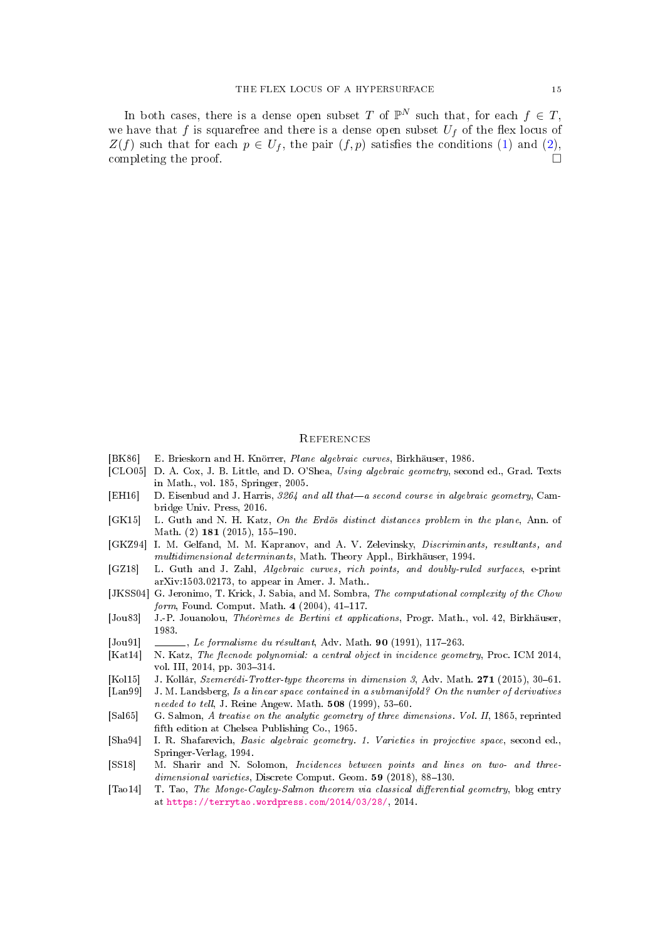In both cases, there is a dense open subset T of  $\mathbb{P}^N$  such that, for each  $f \in T$ , we have that f is squarefree and there is a dense open subset  $U_f$  of the flex locus of  $Z(f)$  such that for each  $p \in U_f$ , the pair  $(f, p)$  satisfies the conditions [\(1\)](#page-12-1) and [\(2\)](#page-12-2), completing the proof.  $\Box$ 

#### **REFERENCES**

- <span id="page-14-13"></span>[BK86] E. Brieskorn and H. Knörrer, Plane algebraic curves, Birkhäuser, 1986.
- <span id="page-14-9"></span>[CLO05] D. A. Cox, J. B. Little, and D. O'Shea, Using algebraic geometry, second ed., Grad. Texts in Math., vol. 185, Springer, 2005.
- <span id="page-14-4"></span>[EH16] D. Eisenbud and J. Harris,  $3264$  and all that—a second course in algebraic geometry, Cambridge Univ. Press, 2016.
- <span id="page-14-2"></span>[GK15] L. Guth and N. H. Katz, On the Erdös distinct distances problem in the plane, Ann. of Math. (2) 181 (2015), 155-190.
- <span id="page-14-11"></span>[GKZ94] I. M. Gelfand, M. M. Kapranov, and A. V. Zelevinsky, Discriminants, resultants, and multidimensional determinants, Math. Theory Appl., Birkhäuser, 1994.
- <span id="page-14-6"></span>[GZ18] L. Guth and J. Zahl, Algebraic curves, rich points, and doubly-ruled surfaces, e-print arXiv:1503.02173, to appear in Amer. J. Math..
- <span id="page-14-12"></span>[JKSS04] G. Jeronimo, T. Krick, J. Sabia, and M. Sombra, The computational complexity of the Chow form, Found. Comput. Math.  $4(2004)$ ,  $41-117$ .
- <span id="page-14-14"></span>[Jou83] J.-P. Jouanolou, Théorèmes de Bertini et applications, Progr. Math., vol. 42, Birkhäuser, 1983.
- <span id="page-14-10"></span> $[Jou91] \quad \_\_\_\_\_\_$ , Le formalisme du résultant, Adv. Math. 90 (1991), 117-263.
- <span id="page-14-1"></span>[Kat14] N. Katz, The flecnode polynomial: a central object in incidence geometry, Proc. ICM 2014, vol. III, 2014, pp. 303-314.
- <span id="page-14-3"></span>[Kol15] J. Kollár, Szemerédi-Trotter-type theorems in dimension 3, Adv. Math. 271 (2015), 30–61.
- <span id="page-14-7"></span>[Lan99] J. M. Landsberg, Is a linear space contained in a submanifold? On the number of derivatives needed to tell, J. Reine Angew. Math.  $508$  (1999),  $53-60$ .
- <span id="page-14-8"></span>[Sal65] G. Salmon, A treatise on the analytic geometry of three dimensions. Vol. II, 1865, reprinted fifth edition at Chelsea Publishing Co., 1965.
- <span id="page-14-15"></span>[Sha94] I. R. Shafarevich, Basic algebraic geometry. 1. Varieties in projective space, second ed., Springer-Verlag, 1994.
- <span id="page-14-5"></span>[SS18] M. Sharir and N. Solomon, Incidences between points and lines on two- and three $dimensional \,\,varieties, \,\,Discrete\,\, Comput. \,\, Geom. \,\, {\bf 59} \,\, (2018), \,\, 88-130.$
- <span id="page-14-0"></span>[Tao14] T. Tao, The Monge-Cayley-Salmon theorem via classical differential geometry, blog entry at [https://terrytao.wordpress.com/2014/03/28/,](https://terrytao.wordpress.com/2014/03/28/) 2014.